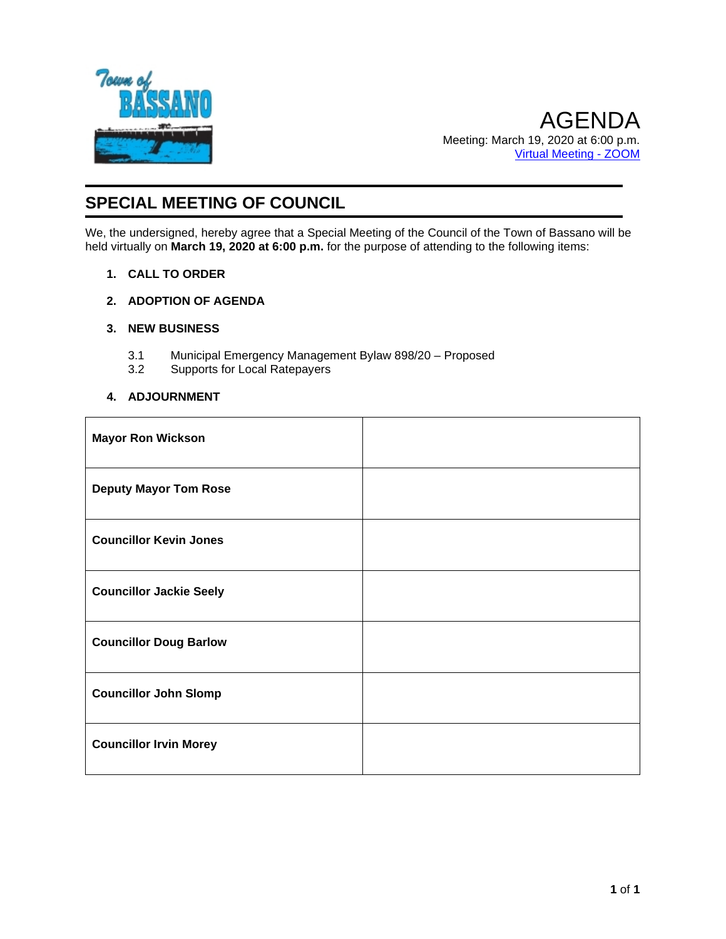

# **SPECIAL MEETING OF COUNCIL**

We, the undersigned, hereby agree that a Special Meeting of the Council of the Town of Bassano will be held virtually on **March 19, 2020 at 6:00 p.m.** for the purpose of attending to the following items:

- **1. CALL TO ORDER**
- **2. ADOPTION OF AGENDA**
- **3. NEW BUSINESS**
	- 3.1 Municipal Emergency Management Bylaw 898/20 Proposed
	- 3.2 Supports for Local Ratepayers

#### **4. ADJOURNMENT**

| <b>Mayor Ron Wickson</b>       |  |
|--------------------------------|--|
| <b>Deputy Mayor Tom Rose</b>   |  |
| <b>Councillor Kevin Jones</b>  |  |
| <b>Councillor Jackie Seely</b> |  |
| <b>Councillor Doug Barlow</b>  |  |
| <b>Councillor John Slomp</b>   |  |
| <b>Councillor Irvin Morey</b>  |  |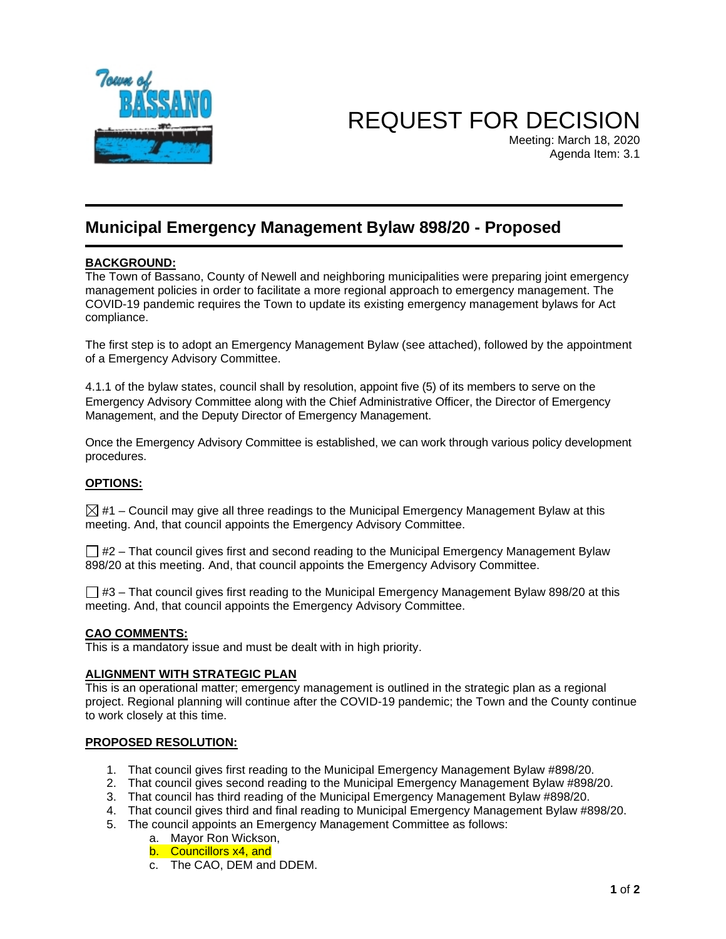

REQUEST FOR DECISION

Meeting: March 18, 2020 Agenda Item: 3.1

### **Municipal Emergency Management Bylaw 898/20 - Proposed**

#### **BACKGROUND:**

The Town of Bassano, County of Newell and neighboring municipalities were preparing joint emergency management policies in order to facilitate a more regional approach to emergency management. The COVID-19 pandemic requires the Town to update its existing emergency management bylaws for Act compliance.

The first step is to adopt an Emergency Management Bylaw (see attached), followed by the appointment of a Emergency Advisory Committee.

4.1.1 of the bylaw states, council shall by resolution, appoint five (5) of its members to serve on the Emergency Advisory Committee along with the Chief Administrative Officer, the Director of Emergency Management, and the Deputy Director of Emergency Management.

Once the Emergency Advisory Committee is established, we can work through various policy development procedures.

#### **OPTIONS:**

 $\boxtimes$  #1 – Council may give all three readings to the Municipal Emergency Management Bylaw at this meeting. And, that council appoints the Emergency Advisory Committee.

 $\Box$  #2 – That council gives first and second reading to the Municipal Emergency Management Bylaw 898/20 at this meeting. And, that council appoints the Emergency Advisory Committee.

 $\Box$  #3 – That council gives first reading to the Municipal Emergency Management Bylaw 898/20 at this meeting. And, that council appoints the Emergency Advisory Committee.

#### **CAO COMMENTS:**

This is a mandatory issue and must be dealt with in high priority.

#### **ALIGNMENT WITH STRATEGIC PLAN**

This is an operational matter; emergency management is outlined in the strategic plan as a regional project. Regional planning will continue after the COVID-19 pandemic; the Town and the County continue to work closely at this time.

#### **PROPOSED RESOLUTION:**

- 1. That council gives first reading to the Municipal Emergency Management Bylaw #898/20.
- 2. That council gives second reading to the Municipal Emergency Management Bylaw #898/20.
- 3. That council has third reading of the Municipal Emergency Management Bylaw #898/20.
- 4. That council gives third and final reading to Municipal Emergency Management Bylaw #898/20.
- 5. The council appoints an Emergency Management Committee as follows:
	- a. Mayor Ron Wickson,
	- b. Councillors x4, and
	- c. The CAO, DEM and DDEM.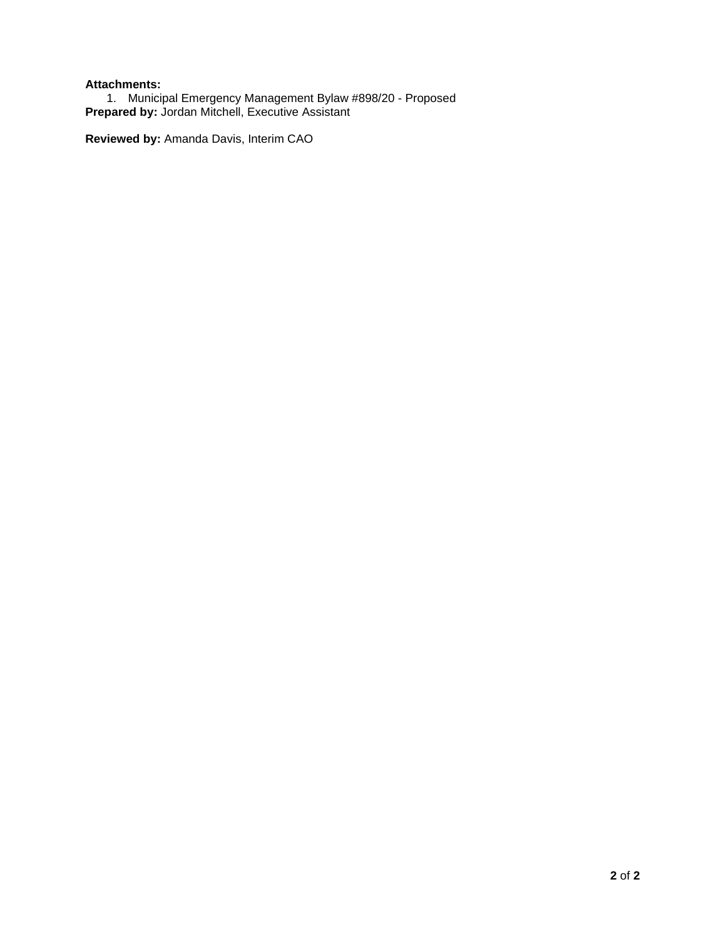#### **Attachments:**

1. Municipal Emergency Management Bylaw #898/20 - Proposed **Prepared by:** Jordan Mitchell, Executive Assistant

**Reviewed by:** Amanda Davis, Interim CAO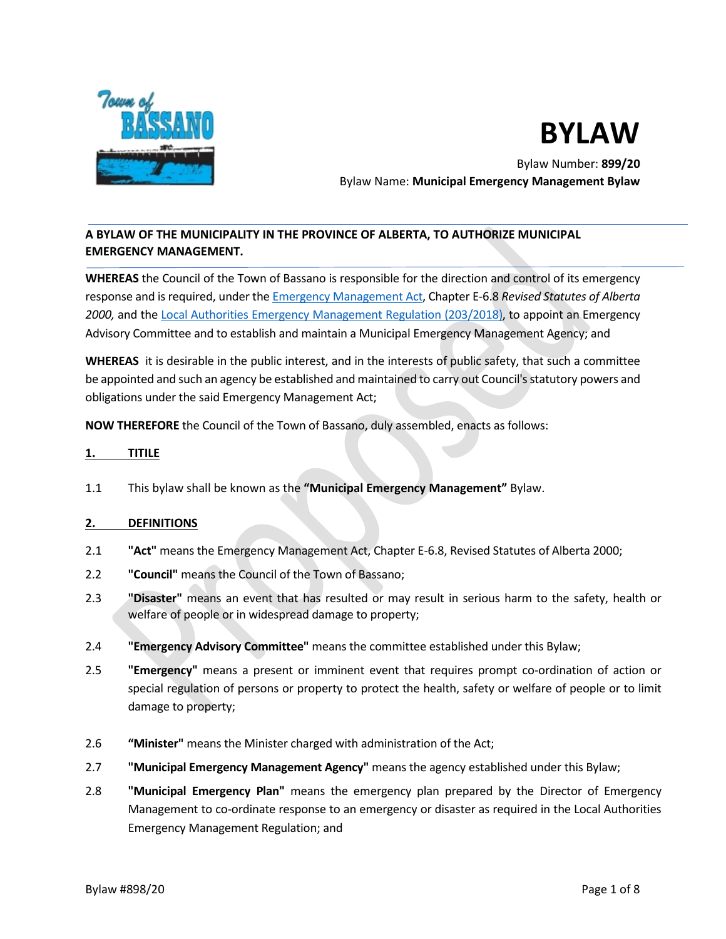

# **BYLAW**

Bylaw Number: **899/20** Bylaw Name: **Municipal Emergency Management Bylaw** 

#### **A BYLAW OF THE MUNICIPALITY IN THE PROVINCE OF ALBERTA, TO AUTHORIZE MUNICIPAL EMERGENCY MANAGEMENT.**

**WHEREAS** the Council of the Town of Bassano is responsible for the direction and control of its emergency response and is required, under the [Emergency Management Act,](http://www.qp.alberta.ca/documents/Acts/E06P8.pdf) Chapter E-6.8 *Revised Statutes of Alberta 2000,* and the [Local Authorities Emergency Management Regulation \(203/2018\),](http://www.qp.alberta.ca/documents/Regs/2018_203.pdf) to appoint an Emergency Advisory Committee and to establish and maintain a Municipal Emergency Management Agency; and

**WHEREAS** it is desirable in the public interest, and in the interests of public safety, that such a committee be appointed and such an agency be established and maintained to carry out Council's statutory powers and obligations under the said Emergency Management Act;

**NOW THEREFORE** the Council of the Town of Bassano, duly assembled, enacts as follows:

#### **1. TITILE**

1.1 This bylaw shall be known as the **"Municipal Emergency Management"** Bylaw.

#### **2. DEFINITIONS**

- 2.1 **"Act"** means the Emergency Management Act, Chapter E-6.8, Revised Statutes of Alberta 2000;
- 2.2 **"Council"** means the Council of the Town of Bassano;
- 2.3 **"Disaster"** means an event that has resulted or may result in serious harm to the safety, health or welfare of people or in widespread damage to property;
- 2.4 **"Emergency Advisory Committee"** means the committee established under this Bylaw;
- 2.5 **"Emergency"** means a present or imminent event that requires prompt co-ordination of action or special regulation of persons or property to protect the health, safety or welfare of people or to limit damage to property;
- 2.6 **"Minister"** means the Minister charged with administration of the Act;
- 2.7 **"Municipal Emergency Management Agency"** means the agency established under this Bylaw;
- 2.8 **"Municipal Emergency Plan"** means the emergency plan prepared by the Director of Emergency Management to co-ordinate response to an emergency or disaster as required in the Local Authorities Emergency Management Regulation; and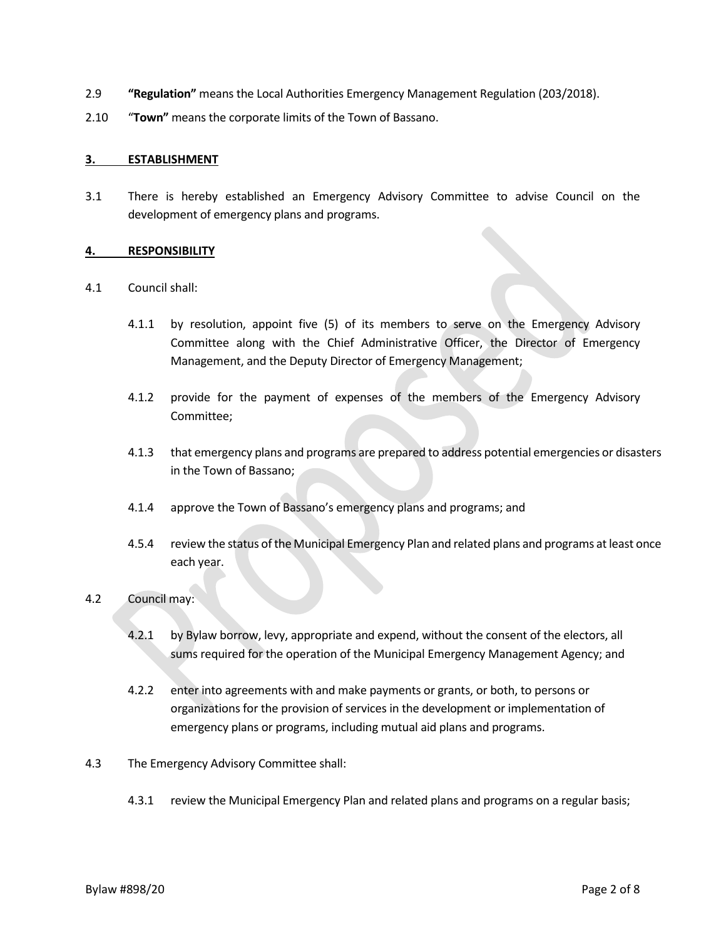- 2.9 **"Regulation"** means the Local Authorities Emergency Management Regulation (203/2018).
- 2.10 "**Town"** means the corporate limits of the Town of Bassano.

#### **3. ESTABLISHMENT**

3.1 There is hereby established an Emergency Advisory Committee to advise Council on the development of emergency plans and programs.

#### **4. RESPONSIBILITY**

- 4.1 Council shall:
	- 4.1.1 by resolution, appoint five (5) of its members to serve on the Emergency Advisory Committee along with the Chief Administrative Officer, the Director of Emergency Management, and the Deputy Director of Emergency Management;
	- 4.1.2 provide for the payment of expenses of the members of the Emergency Advisory Committee;
	- 4.1.3 that emergency plans and programs are prepared to address potential emergencies or disasters in the Town of Bassano;
	- 4.1.4 approve the Town of Bassano's emergency plans and programs; and
	- 4.5.4 review the status of the Municipal Emergency Plan and related plans and programs at least once each year.

#### 4.2 Council may:

- 4.2.1 by Bylaw borrow, levy, appropriate and expend, without the consent of the electors, all sums required for the operation of the Municipal Emergency Management Agency; and
- 4.2.2 enter into agreements with and make payments or grants, or both, to persons or organizations for the provision of services in the development or implementation of emergency plans or programs, including mutual aid plans and programs.
- 4.3 The Emergency Advisory Committee shall:
	- 4.3.1 review the Municipal Emergency Plan and related plans and programs on a regular basis;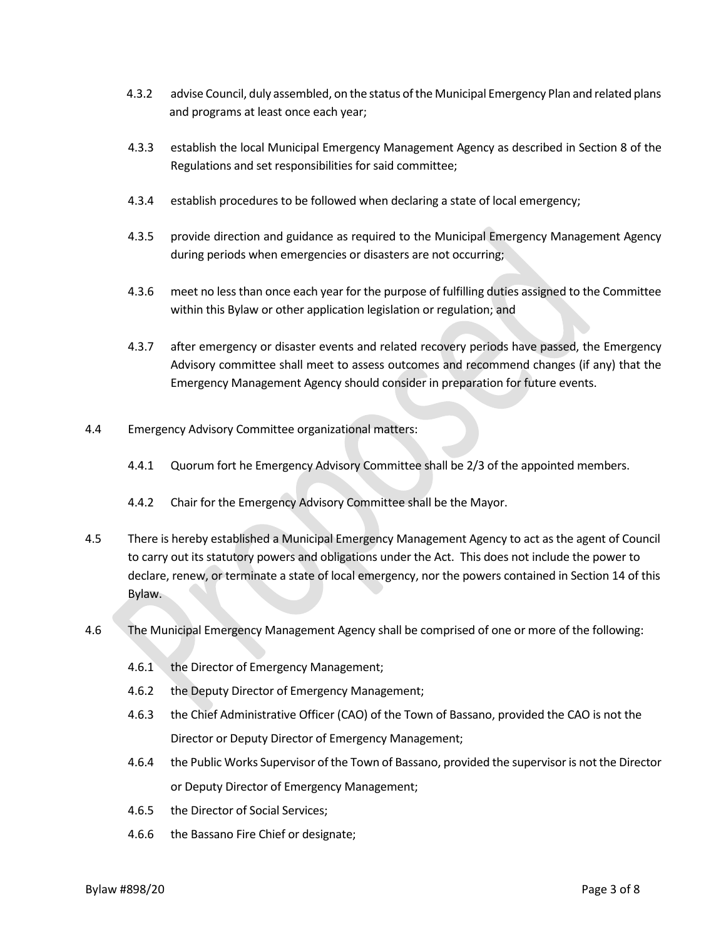- 4.3.2 advise Council, duly assembled, on the status of the Municipal Emergency Plan and related plans and programs at least once each year;
- 4.3.3 establish the local Municipal Emergency Management Agency as described in Section 8 of the Regulations and set responsibilities for said committee;
- 4.3.4 establish procedures to be followed when declaring a state of local emergency;
- 4.3.5 provide direction and guidance as required to the Municipal Emergency Management Agency during periods when emergencies or disasters are not occurring;
- 4.3.6 meet no less than once each year for the purpose of fulfilling duties assigned to the Committee within this Bylaw or other application legislation or regulation; and
- 4.3.7 after emergency or disaster events and related recovery periods have passed, the Emergency Advisory committee shall meet to assess outcomes and recommend changes (if any) that the Emergency Management Agency should consider in preparation for future events.
- 4.4 Emergency Advisory Committee organizational matters:
	- 4.4.1 Quorum fort he Emergency Advisory Committee shall be 2/3 of the appointed members.
	- 4.4.2 Chair for the Emergency Advisory Committee shall be the Mayor.
- 4.5 There is hereby established a Municipal Emergency Management Agency to act as the agent of Council to carry out its statutory powers and obligations under the Act. This does not include the power to declare, renew, or terminate a state of local emergency, nor the powers contained in Section 14 of this Bylaw.
- 4.6 The Municipal Emergency Management Agency shall be comprised of one or more of the following:
	- 4.6.1 the Director of Emergency Management;
	- 4.6.2 the Deputy Director of Emergency Management;
	- 4.6.3 the Chief Administrative Officer (CAO) of the Town of Bassano, provided the CAO is not the Director or Deputy Director of Emergency Management;
	- 4.6.4 the Public Works Supervisor of the Town of Bassano, provided the supervisor is not the Director or Deputy Director of Emergency Management;
	- 4.6.5 the Director of Social Services;
	- 4.6.6 the Bassano Fire Chief or designate;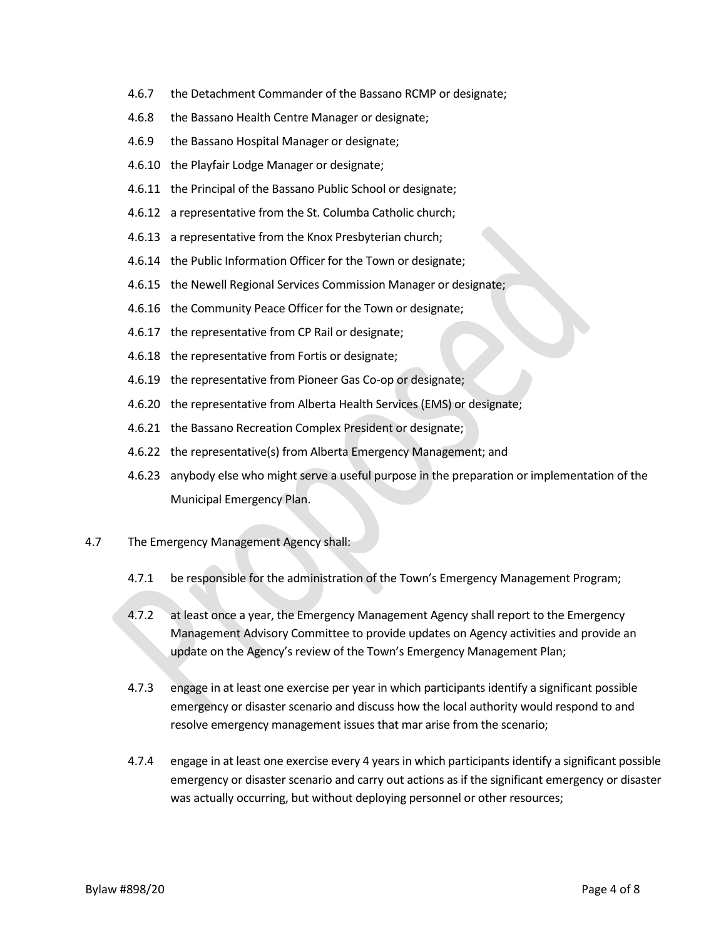- 4.6.7 the Detachment Commander of the Bassano RCMP or designate;
- 4.6.8 the Bassano Health Centre Manager or designate;
- 4.6.9 the Bassano Hospital Manager or designate;
- 4.6.10 the Playfair Lodge Manager or designate;
- 4.6.11 the Principal of the Bassano Public School or designate;
- 4.6.12 a representative from the St. Columba Catholic church;
- 4.6.13 a representative from the Knox Presbyterian church;
- 4.6.14 the Public Information Officer for the Town or designate;
- 4.6.15 the Newell Regional Services Commission Manager or designate;
- 4.6.16 the Community Peace Officer for the Town or designate;
- 4.6.17 the representative from CP Rail or designate;
- 4.6.18 the representative from Fortis or designate;
- 4.6.19 the representative from Pioneer Gas Co-op or designate;
- 4.6.20 the representative from Alberta Health Services (EMS) or designate;
- 4.6.21 the Bassano Recreation Complex President or designate;
- 4.6.22 the representative(s) from Alberta Emergency Management; and
- 4.6.23 anybody else who might serve a useful purpose in the preparation or implementation of the Municipal Emergency Plan.
- 4.7 The Emergency Management Agency shall:
	- 4.7.1 be responsible for the administration of the Town's Emergency Management Program;
	- 4.7.2 at least once a year, the Emergency Management Agency shall report to the Emergency Management Advisory Committee to provide updates on Agency activities and provide an update on the Agency's review of the Town's Emergency Management Plan;
	- 4.7.3 engage in at least one exercise per year in which participants identify a significant possible emergency or disaster scenario and discuss how the local authority would respond to and resolve emergency management issues that mar arise from the scenario;
	- 4.7.4 engage in at least one exercise every 4 years in which participants identify a significant possible emergency or disaster scenario and carry out actions as if the significant emergency or disaster was actually occurring, but without deploying personnel or other resources;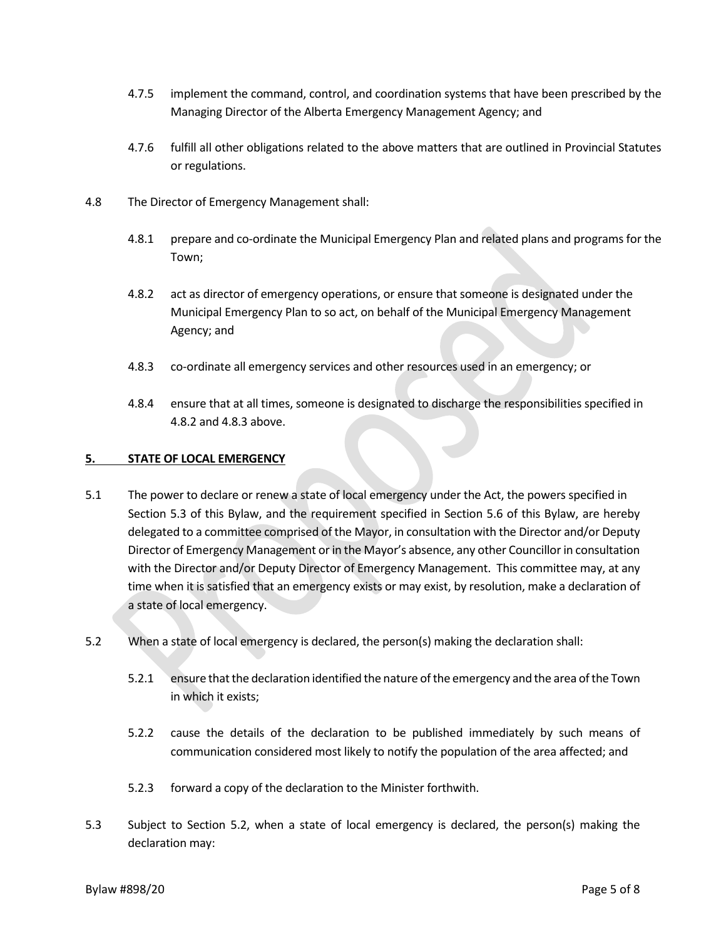- 4.7.5 implement the command, control, and coordination systems that have been prescribed by the Managing Director of the Alberta Emergency Management Agency; and
- 4.7.6 fulfill all other obligations related to the above matters that are outlined in Provincial Statutes or regulations.
- 4.8 The Director of Emergency Management shall:
	- 4.8.1 prepare and co-ordinate the Municipal Emergency Plan and related plans and programs for the Town;
	- 4.8.2 act as director of emergency operations, or ensure that someone is designated under the Municipal Emergency Plan to so act, on behalf of the Municipal Emergency Management Agency; and
	- 4.8.3 co-ordinate all emergency services and other resources used in an emergency; or
	- 4.8.4 ensure that at all times, someone is designated to discharge the responsibilities specified in 4.8.2 and 4.8.3 above.

#### **5. STATE OF LOCAL EMERGENCY**

- 5.1 The power to declare or renew a state of local emergency under the Act, the powers specified in Section 5.3 of this Bylaw, and the requirement specified in Section 5.6 of this Bylaw, are hereby delegated to a committee comprised of the Mayor, in consultation with the Director and/or Deputy Director of Emergency Management or in the Mayor's absence, any other Councillor in consultation with the Director and/or Deputy Director of Emergency Management. This committee may, at any time when it is satisfied that an emergency exists or may exist, by resolution, make a declaration of a state of local emergency.
- 5.2 When a state of local emergency is declared, the person(s) making the declaration shall:
	- 5.2.1 ensure that the declaration identified the nature of the emergency and the area of the Town in which it exists;
	- 5.2.2 cause the details of the declaration to be published immediately by such means of communication considered most likely to notify the population of the area affected; and
	- 5.2.3 forward a copy of the declaration to the Minister forthwith.
- 5.3 Subject to Section 5.2, when a state of local emergency is declared, the person(s) making the declaration may: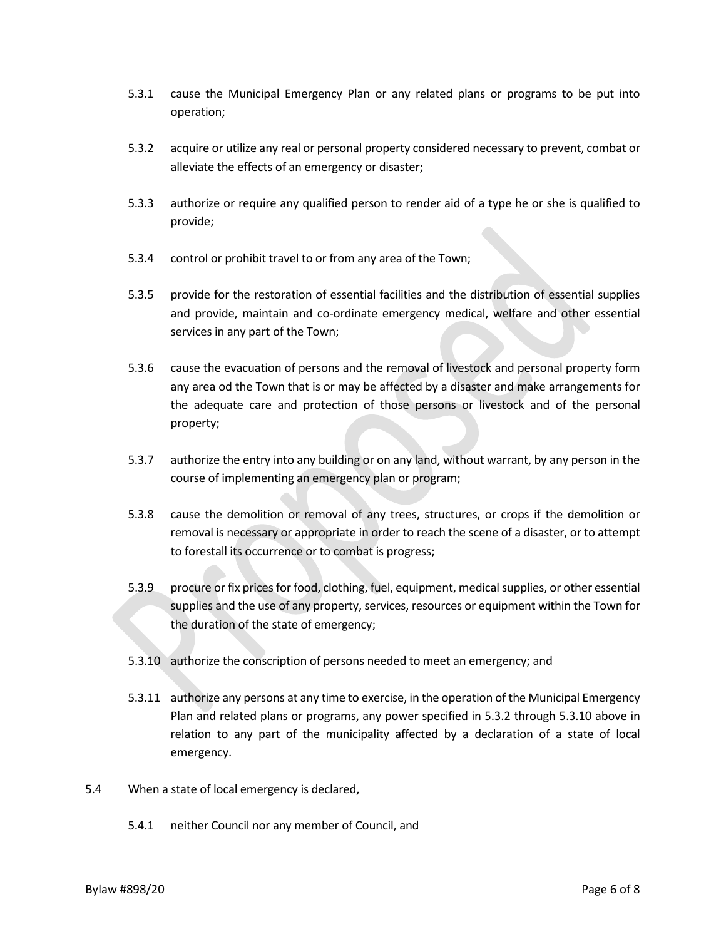- 5.3.1 cause the Municipal Emergency Plan or any related plans or programs to be put into operation;
- 5.3.2 acquire or utilize any real or personal property considered necessary to prevent, combat or alleviate the effects of an emergency or disaster;
- 5.3.3 authorize or require any qualified person to render aid of a type he or she is qualified to provide;
- 5.3.4 control or prohibit travel to or from any area of the Town;
- 5.3.5 provide for the restoration of essential facilities and the distribution of essential supplies and provide, maintain and co-ordinate emergency medical, welfare and other essential services in any part of the Town;
- 5.3.6 cause the evacuation of persons and the removal of livestock and personal property form any area od the Town that is or may be affected by a disaster and make arrangements for the adequate care and protection of those persons or livestock and of the personal property;
- 5.3.7 authorize the entry into any building or on any land, without warrant, by any person in the course of implementing an emergency plan or program;
- 5.3.8 cause the demolition or removal of any trees, structures, or crops if the demolition or removal is necessary or appropriate in order to reach the scene of a disaster, or to attempt to forestall its occurrence or to combat is progress;
- 5.3.9 procure or fix prices for food, clothing, fuel, equipment, medical supplies, or other essential supplies and the use of any property, services, resources or equipment within the Town for the duration of the state of emergency;
- 5.3.10 authorize the conscription of persons needed to meet an emergency; and
- 5.3.11 authorize any persons at any time to exercise, in the operation of the Municipal Emergency Plan and related plans or programs, any power specified in 5.3.2 through 5.3.10 above in relation to any part of the municipality affected by a declaration of a state of local emergency.
- 5.4 When a state of local emergency is declared,
	- 5.4.1 neither Council nor any member of Council, and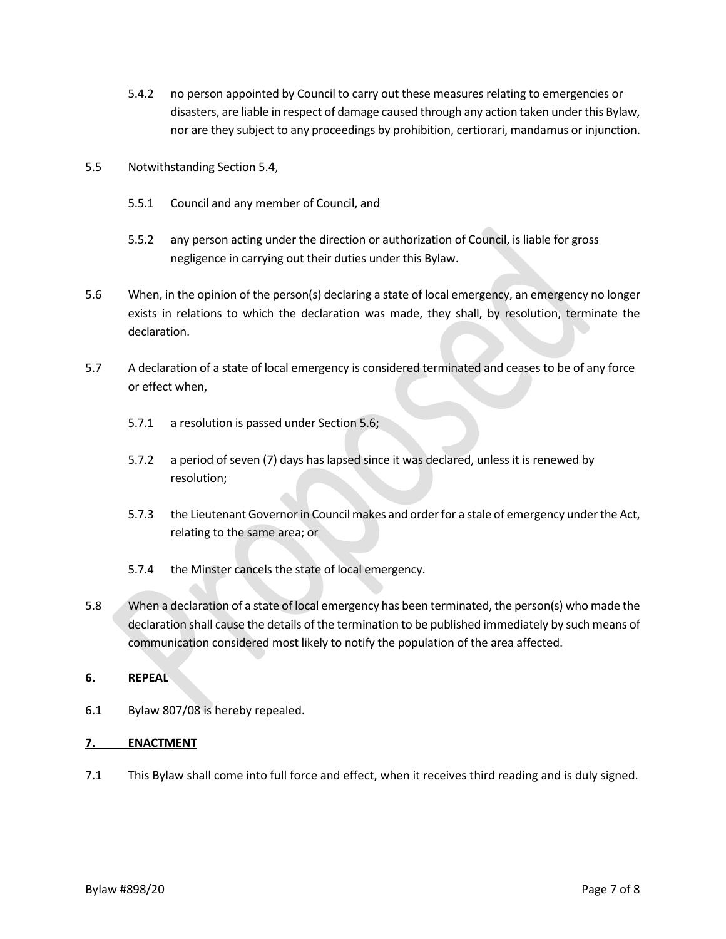- 5.4.2 no person appointed by Council to carry out these measures relating to emergencies or disasters, are liable in respect of damage caused through any action taken under this Bylaw, nor are they subject to any proceedings by prohibition, certiorari, mandamus or injunction.
- 5.5 Notwithstanding Section 5.4,
	- 5.5.1 Council and any member of Council, and
	- 5.5.2 any person acting under the direction or authorization of Council, is liable for gross negligence in carrying out their duties under this Bylaw.
- 5.6 When, in the opinion of the person(s) declaring a state of local emergency, an emergency no longer exists in relations to which the declaration was made, they shall, by resolution, terminate the declaration.
- 5.7 A declaration of a state of local emergency is considered terminated and ceases to be of any force or effect when,
	- 5.7.1 a resolution is passed under Section 5.6;
	- 5.7.2 a period of seven (7) days has lapsed since it was declared, unless it is renewed by resolution;
	- 5.7.3 the Lieutenant Governor in Council makes and order for a stale of emergency under the Act, relating to the same area; or
	- 5.7.4 the Minster cancels the state of local emergency.
- 5.8 When a declaration of a state of local emergency has been terminated, the person(s) who made the declaration shall cause the details of the termination to be published immediately by such means of communication considered most likely to notify the population of the area affected.

#### **6. REPEAL**

6.1 Bylaw 807/08 is hereby repealed.

#### **7. ENACTMENT**

7.1 This Bylaw shall come into full force and effect, when it receives third reading and is duly signed.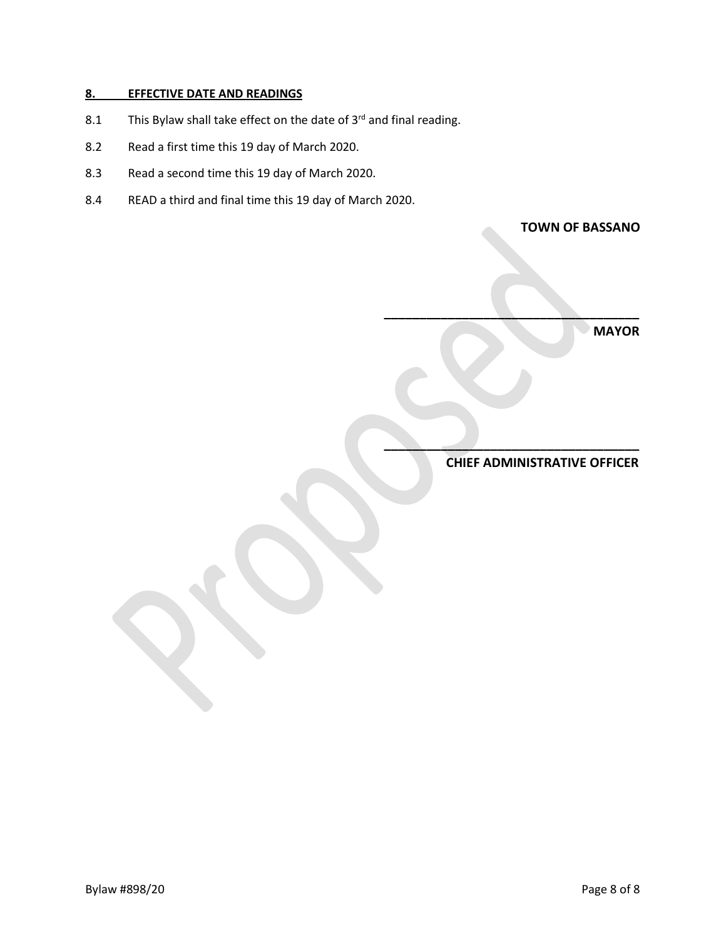#### **8. EFFECTIVE DATE AND READINGS**

- 8.1 This Bylaw shall take effect on the date of  $3^{rd}$  and final reading.
- 8.2 Read a first time this 19 day of March 2020.
- 8.3 Read a second time this 19 day of March 2020.
- 8.4 READ a third and final time this 19 day of March 2020.

**TOWN OF BASSANO**

 **MAYOR**

 **CHIEF ADMINISTRATIVE OFFICER**

**\_\_\_\_\_\_\_\_\_\_\_\_\_\_\_\_\_\_\_\_\_\_\_\_\_\_\_\_\_\_\_\_\_\_\_\_**

**\_\_\_\_\_\_\_\_\_\_\_\_\_\_\_\_\_\_\_\_\_\_\_\_\_\_\_\_\_\_\_\_\_\_\_\_**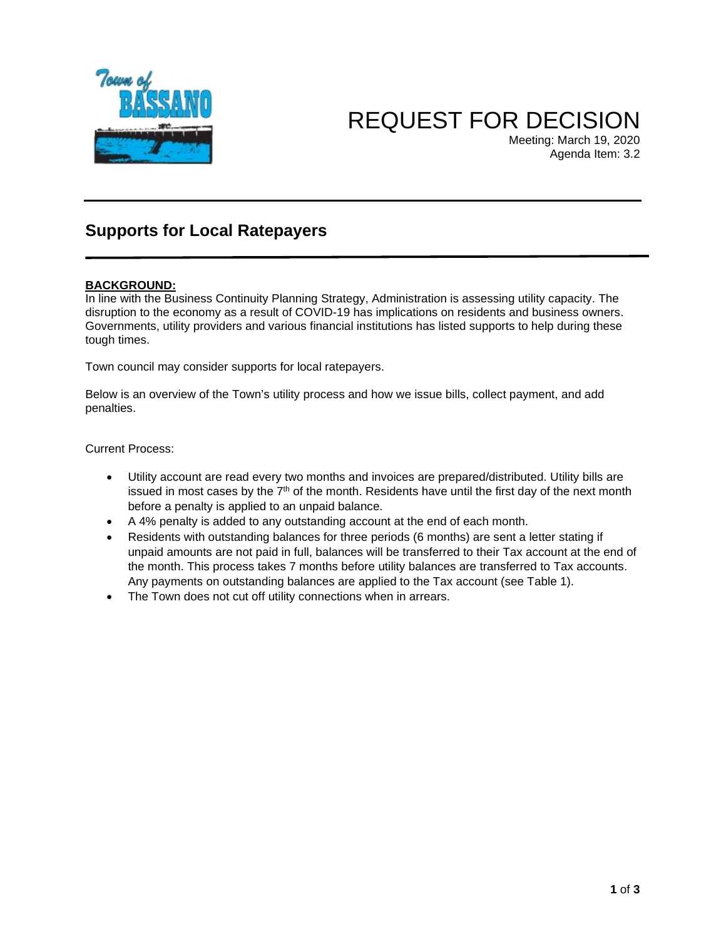

# REQUEST FOR DECISION

Meeting: March 19, 2020 Agenda Item: 3.2

## **Supports for Local Ratepayers**

#### **BACKGROUND:**

In line with the Business Continuity Planning Strategy, Administration is assessing utility capacity. The disruption to the economy as a result of COVID-19 has implications on residents and business owners. Governments, utility providers and various financial institutions has listed supports to help during these tough times.

Town council may consider supports for local ratepayers.

Below is an overview of the Town's utility process and how we issue bills, collect payment, and add penalties.

Current Process:

- Utility account are read every two months and invoices are prepared/distributed. Utility bills are issued in most cases by the  $7<sup>th</sup>$  of the month. Residents have until the first day of the next month before a penalty is applied to an unpaid balance.
- A 4% penalty is added to any outstanding account at the end of each month.
- Residents with outstanding balances for three periods (6 months) are sent a letter stating if unpaid amounts are not paid in full, balances will be transferred to their Tax account at the end of the month. This process takes 7 months before utility balances are transferred to Tax accounts. Any payments on outstanding balances are applied to the Tax account (see Table 1).
- The Town does not cut off utility connections when in arrears.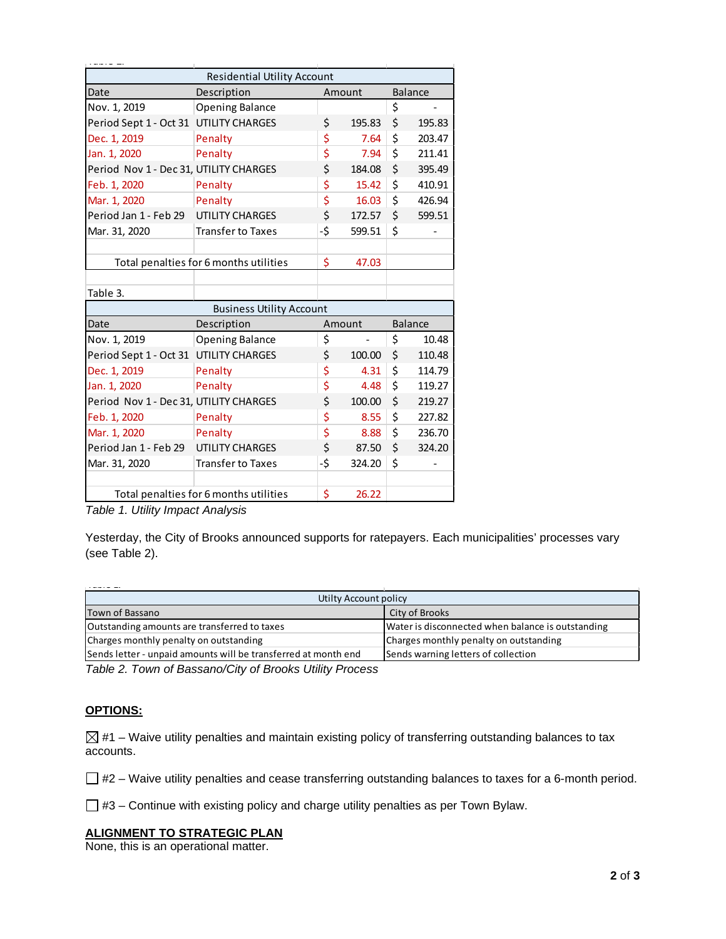| <b>Residential Utility Account</b>     |                                        |     |                |    |                |  |  |
|----------------------------------------|----------------------------------------|-----|----------------|----|----------------|--|--|
| Date                                   | Description                            |     | Amount         |    | <b>Balance</b> |  |  |
| Nov. 1, 2019                           | <b>Opening Balance</b>                 |     |                | \$ |                |  |  |
| Period Sept 1 - Oct 31 UTILITY CHARGES |                                        | \$  | 195.83         | \$ | 195.83         |  |  |
| Dec. 1, 2019                           | Penalty                                | \$  | 7.64           | \$ | 203.47         |  |  |
| Jan. 1, 2020                           | Penalty                                | \$  | 7.94           | \$ | 211.41         |  |  |
| Period Nov 1 - Dec 31, UTILITY CHARGES |                                        | \$  | 184.08         | \$ | 395.49         |  |  |
| Feb. 1, 2020                           | Penalty                                | \$  | 15.42          | \$ | 410.91         |  |  |
| Mar. 1, 2020                           | Penalty                                | \$  | 16.03          | \$ | 426.94         |  |  |
| Period Jan 1 - Feb 29                  | <b>UTILITY CHARGES</b>                 | \$  | 172.57         | \$ | 599.51         |  |  |
| Mar. 31, 2020                          | <b>Transfer to Taxes</b>               | -\$ | 599.51         | \$ |                |  |  |
|                                        |                                        |     |                |    |                |  |  |
|                                        | Total penalties for 6 months utilities | \$  | 47.03          |    |                |  |  |
|                                        |                                        |     |                |    |                |  |  |
| Table 3.                               |                                        |     |                |    |                |  |  |
| <b>Business Utility Account</b>        |                                        |     |                |    |                |  |  |
| Date                                   | Description                            |     | Amount         |    | <b>Balance</b> |  |  |
| Nov. 1, 2019                           | <b>Opening Balance</b>                 | \$  | $\overline{a}$ | \$ | 10.48          |  |  |
| Period Sept 1 - Oct 31 UTILITY CHARGES |                                        | \$  | 100.00         | \$ | 110.48         |  |  |
| Dec. 1, 2019                           | Penalty                                | \$  | 4.31           | \$ | 114.79         |  |  |
| Jan. 1, 2020                           | Penalty                                | \$  | 4.48           | \$ | 119.27         |  |  |
| Period Nov 1 - Dec 31, UTILITY CHARGES |                                        | \$  | 100.00         | \$ | 219.27         |  |  |
| Feb. 1, 2020                           | Penalty                                | \$  | 8.55           | \$ | 227.82         |  |  |
| Mar. 1, 2020                           | Penalty                                | \$  | 8.88           | \$ | 236.70         |  |  |
| Period Jan 1 - Feb 29                  | <b>UTILITY CHARGES</b>                 | \$  | 87.50          | \$ | 324.20         |  |  |
| Mar. 31, 2020                          | <b>Transfer to Taxes</b>               | -\$ | 324.20         | \$ |                |  |  |
|                                        |                                        |     |                |    |                |  |  |
| Total penalties for 6 months utilities |                                        | \$  | 26.22          |    |                |  |  |

*Table 1. Utility Impact Analysis* 

Yesterday, the City of Brooks announced supports for ratepayers. Each municipalities' processes vary (see Table 2).

| Utilty Account policy                                          |                                                   |  |
|----------------------------------------------------------------|---------------------------------------------------|--|
| Town of Bassano                                                | City of Brooks                                    |  |
| Outstanding amounts are transferred to taxes                   | Water is disconnected when balance is outstanding |  |
| Charges monthly penalty on outstanding                         | Charges monthly penalty on outstanding            |  |
| Sends letter - unpaid amounts will be transferred at month end | Sends warning letters of collection               |  |

*Table 2. Town of Bassano/City of Brooks Utility Process*

#### **OPTIONS:**

 $\boxtimes$  #1 – Waive utility penalties and maintain existing policy of transferring outstanding balances to tax accounts.

 $\Box$  #2 – Waive utility penalties and cease transferring outstanding balances to taxes for a 6-month period.

 $\Box$  #3 – Continue with existing policy and charge utility penalties as per Town Bylaw.

#### **ALIGNMENT TO STRATEGIC PLAN**

None, this is an operational matter.